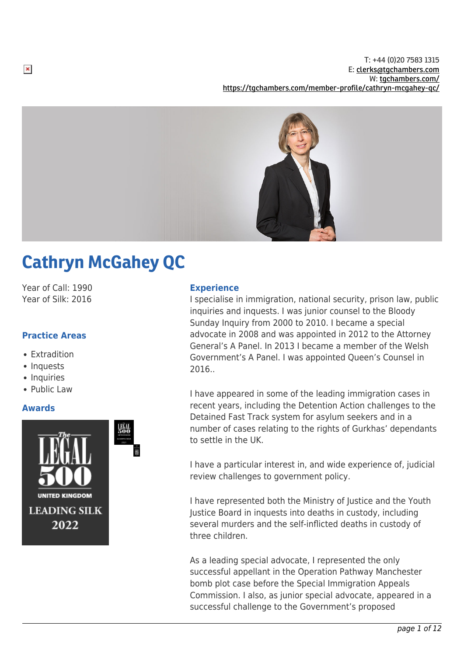

# Cathryn McGahey QC

Year of Call: 1990 Year of Silk: 2016

# **Practice Areas**

- Extradition
- Inquests
- Inquiries
- Public Law

# **Awards**



## **Experience**

I specialise in immigration, national security, prison law, public inquiries and inquests. I was junior counsel to the Bloody Sunday Inquiry from 2000 to 2010. I became a special advocate in 2008 and was appointed in 2012 to the Attorney General's A Panel. In 2013 I became a member of the Welsh Government's A Panel. I was appointed Queen's Counsel in 2016..

I have appeared in some of the leading immigration cases in recent years, including the Detention Action challenges to the Detained Fast Track system for asylum seekers and in a number of cases relating to the rights of Gurkhas' dependants to settle in the UK.

I have a particular interest in, and wide experience of, judicial review challenges to government policy.

I have represented both the Ministry of Justice and the Youth Justice Board in inquests into deaths in custody, including several murders and the self-inflicted deaths in custody of three children.

As a leading special advocate, I represented the only successful appellant in the Operation Pathway Manchester bomb plot case before the Special Immigration Appeals Commission. I also, as junior special advocate, appeared in a successful challenge to the Government's proposed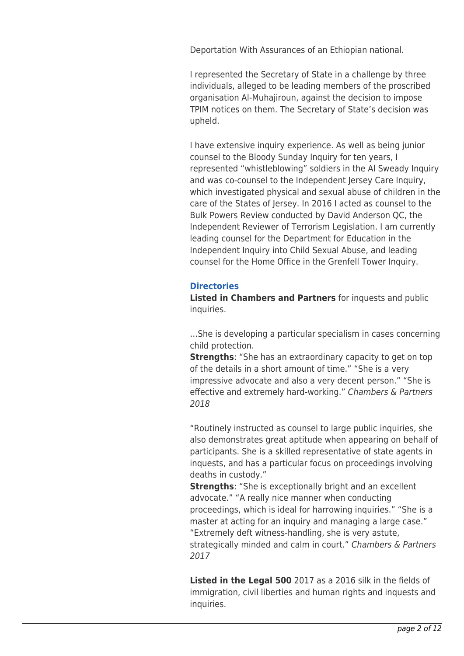Deportation With Assurances of an Ethiopian national.

I represented the Secretary of State in a challenge by three individuals, alleged to be leading members of the proscribed organisation Al-Muhajiroun, against the decision to impose TPIM notices on them. The Secretary of State's decision was upheld.

I have extensive inquiry experience. As well as being junior counsel to the Bloody Sunday Inquiry for ten years, I represented "whistleblowing" soldiers in the Al Sweady Inquiry and was co-counsel to the Independent Jersey Care Inquiry, which investigated physical and sexual abuse of children in the care of the States of Jersey. In 2016 I acted as counsel to the Bulk Powers Review conducted by David Anderson QC, the Independent Reviewer of Terrorism Legislation. I am currently leading counsel for the Department for Education in the Independent Inquiry into Child Sexual Abuse, and leading counsel for the Home Office in the Grenfell Tower Inquiry.

# **Directories**

**Listed in Chambers and Partners** for inquests and public inquiries.

…She is developing a particular specialism in cases concerning child protection.

**Strengths**: "She has an extraordinary capacity to get on top of the details in a short amount of time." "She is a very impressive advocate and also a very decent person." "She is effective and extremely hard-working." Chambers & Partners 2018

"Routinely instructed as counsel to large public inquiries, she also demonstrates great aptitude when appearing on behalf of participants. She is a skilled representative of state agents in inquests, and has a particular focus on proceedings involving deaths in custody."

**Strengths**: "She is exceptionally bright and an excellent advocate." "A really nice manner when conducting proceedings, which is ideal for harrowing inquiries." "She is a master at acting for an inquiry and managing a large case." "Extremely deft witness-handling, she is very astute,

strategically minded and calm in court." Chambers & Partners 2017

**Listed in the Legal 500** 2017 as a 2016 silk in the fields of immigration, civil liberties and human rights and inquests and inquiries.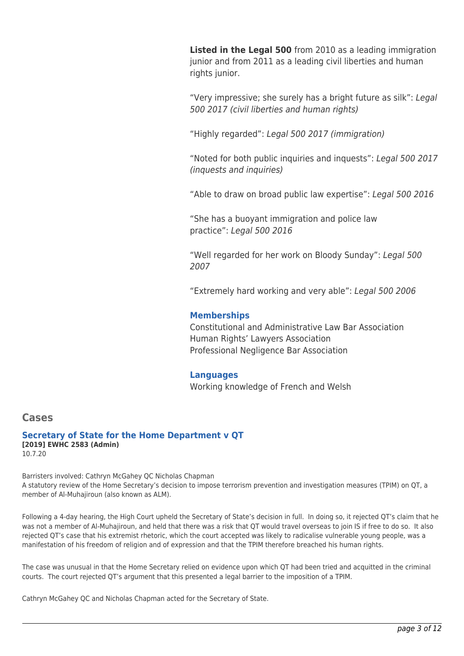**Listed in the Legal 500** from 2010 as a leading immigration junior and from 2011 as a leading civil liberties and human rights junior.

"Very impressive; she surely has a bright future as silk": Legal 500 2017 (civil liberties and human rights)

"Highly regarded": Legal 500 2017 (immigration)

"Noted for both public inquiries and inquests": Legal 500 2017 (inquests and inquiries)

"Able to draw on broad public law expertise": Legal 500 2016

"She has a buoyant immigration and police law practice": Legal 500 2016

"Well regarded for her work on Bloody Sunday": Legal 500 2007

"Extremely hard working and very able": Legal 500 2006

# **Memberships**

Constitutional and Administrative Law Bar Association Human Rights' Lawyers Association Professional Negligence Bar Association

## **Languages**

Working knowledge of French and Welsh

# **Cases**

**Secretary of State for the Home Department v QT [2019] EWHC 2583 (Admin)** 10.7.20

Barristers involved: Cathryn McGahey QC Nicholas Chapman A statutory review of the Home Secretary's decision to impose terrorism prevention and investigation measures (TPIM) on QT, a member of Al-Muhajiroun (also known as ALM).

Following a 4-day hearing, the High Court upheld the Secretary of State's decision in full. In doing so, it rejected QT's claim that he was not a member of Al-Muhajiroun, and held that there was a risk that QT would travel overseas to join IS if free to do so. It also rejected QT's case that his extremist rhetoric, which the court accepted was likely to radicalise vulnerable young people, was a manifestation of his freedom of religion and of expression and that the TPIM therefore breached his human rights.

The case was unusual in that the Home Secretary relied on evidence upon which QT had been tried and acquitted in the criminal courts. The court rejected QT's argument that this presented a legal barrier to the imposition of a TPIM.

Cathryn McGahey QC and Nicholas Chapman acted for the Secretary of State.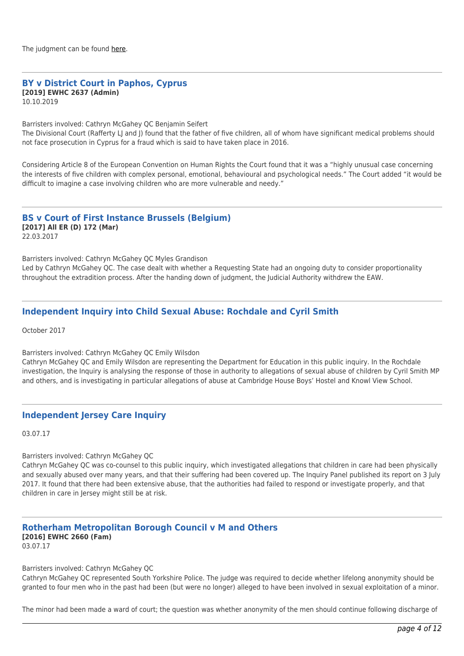# **BY v District Court in Paphos, Cyprus [2019] EWHC 2637 (Admin)**

10.10.2019

Barristers involved: Cathryn McGahey QC Benjamin Seifert

The Divisional Court (Rafferty LI and I) found that the father of five children, all of whom have significant medical problems should not face prosecution in Cyprus for a fraud which is said to have taken place in 2016.

Considering Article 8 of the European Convention on Human Rights the Court found that it was a "highly unusual case concerning the interests of five children with complex personal, emotional, behavioural and psychological needs." The Court added "it would be difficult to imagine a case involving children who are more vulnerable and needy."

#### **BS v Court of First Instance Brussels (Belgium) [2017] All ER (D) 172 (Mar)**

22.03.2017

Barristers involved: Cathryn McGahey QC Myles Grandison Led by Cathryn McGahey QC. The case dealt with whether a Requesting State had an ongoing duty to consider proportionality throughout the extradition process. After the handing down of judgment, the Judicial Authority withdrew the EAW.

# **Independent Inquiry into Child Sexual Abuse: Rochdale and Cyril Smith**

October 2017

Barristers involved: Cathryn McGahey QC Emily Wilsdon

Cathryn McGahey QC and Emily Wilsdon are representing the Department for Education in this public inquiry. In the Rochdale investigation, the Inquiry is analysing the response of those in authority to allegations of sexual abuse of children by Cyril Smith MP and others, and is investigating in particular allegations of abuse at Cambridge House Boys' Hostel and Knowl View School.

# **Independent Jersey Care Inquiry**

03.07.17

#### Barristers involved: Cathryn McGahey QC

Cathryn McGahey QC was co-counsel to this public inquiry, which investigated allegations that children in care had been physically and sexually abused over many years, and that their suffering had been covered up. The Inquiry Panel published its report on 3 July 2017. It found that there had been extensive abuse, that the authorities had failed to respond or investigate properly, and that children in care in Jersey might still be at risk.

# **Rotherham Metropolitan Borough Council v M and Others [2016] EWHC 2660 (Fam)**

03.07.17

Barristers involved: Cathryn McGahey QC

Cathryn McGahey QC represented South Yorkshire Police. The judge was required to decide whether lifelong anonymity should be granted to four men who in the past had been (but were no longer) alleged to have been involved in sexual exploitation of a minor.

The minor had been made a ward of court; the question was whether anonymity of the men should continue following discharge of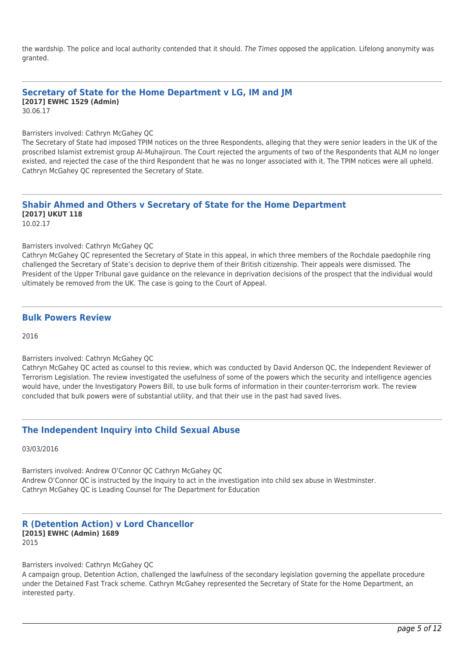the wardship. The police and local authority contended that it should. The Times opposed the application. Lifelong anonymity was granted.

# **Secretary of State for the Home Department v LG, IM and JM [2017] EWHC 1529 (Admin)**

30.06.17

Barristers involved: Cathryn McGahey QC

The Secretary of State had imposed TPIM notices on the three Respondents, alleging that they were senior leaders in the UK of the proscribed Islamist extremist group Al-Muhajiroun. The Court rejected the arguments of two of the Respondents that ALM no longer existed, and rejected the case of the third Respondent that he was no longer associated with it. The TPIM notices were all upheld. Cathryn McGahey QC represented the Secretary of State.

# **Shabir Ahmed and Others v Secretary of State for the Home Department [2017] UKUT 118**

10.02.17

#### Barristers involved: Cathryn McGahey QC

Cathryn McGahey QC represented the Secretary of State in this appeal, in which three members of the Rochdale paedophile ring challenged the Secretary of State's decision to deprive them of their British citizenship. Their appeals were dismissed. The President of the Upper Tribunal gave guidance on the relevance in deprivation decisions of the prospect that the individual would ultimately be removed from the UK. The case is going to the Court of Appeal.

#### **Bulk Powers Review**

2016

#### Barristers involved: Cathryn McGahey QC

Cathryn McGahey QC acted as counsel to this review, which was conducted by David Anderson QC, the Independent Reviewer of Terrorism Legislation. The review investigated the usefulness of some of the powers which the security and intelligence agencies would have, under the Investigatory Powers Bill, to use bulk forms of information in their counter-terrorism work. The review concluded that bulk powers were of substantial utility, and that their use in the past had saved lives.

## **The Independent Inquiry into Child Sexual Abuse**

03/03/2016

Barristers involved: Andrew O'Connor QC Cathryn McGahey QC Andrew O'Connor QC is instructed by the Inquiry to act in the investigation into child sex abuse in Westminster. Cathryn McGahey QC is Leading Counsel for The Department for Education

#### **R (Detention Action) v Lord Chancellor [2015] EWHC (Admin) 1689** 2015

Barristers involved: Cathryn McGahey QC

A campaign group, Detention Action, challenged the lawfulness of the secondary legislation governing the appellate procedure under the Detained Fast Track scheme. Cathryn McGahey represented the Secretary of State for the Home Department, an interested party.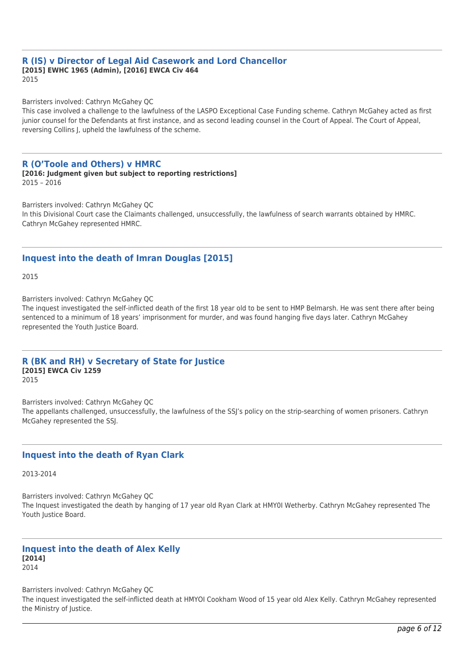#### **R (IS) v Director of Legal Aid Casework and Lord Chancellor [2015] EWHC 1965 (Admin), [2016] EWCA Civ 464** 2015

Barristers involved: Cathryn McGahey QC

This case involved a challenge to the lawfulness of the LASPO Exceptional Case Funding scheme. Cathryn McGahey acted as first junior counsel for the Defendants at first instance, and as second leading counsel in the Court of Appeal. The Court of Appeal, reversing Collins J, upheld the lawfulness of the scheme.

#### **R (O'Toole and Others) v HMRC**

**[2016: Judgment given but subject to reporting restrictions]** 2015 – 2016

Barristers involved: Cathryn McGahey QC In this Divisional Court case the Claimants challenged, unsuccessfully, the lawfulness of search warrants obtained by HMRC. Cathryn McGahey represented HMRC.

## **Inquest into the death of Imran Douglas [2015]**

2015

Barristers involved: Cathryn McGahey QC

The inquest investigated the self-inflicted death of the first 18 year old to be sent to HMP Belmarsh. He was sent there after being sentenced to a minimum of 18 years' imprisonment for murder, and was found hanging five days later. Cathryn McGahey represented the Youth Justice Board.

#### **R (BK and RH) v Secretary of State for Justice [2015] EWCA Civ 1259** 2015

Barristers involved: Cathryn McGahey QC The appellants challenged, unsuccessfully, the lawfulness of the SSJ's policy on the strip-searching of women prisoners. Cathryn McGahey represented the SSJ.

## **Inquest into the death of Ryan Clark**

2013-2014

Barristers involved: Cathryn McGahey QC The Inquest investigated the death by hanging of 17 year old Ryan Clark at HMY0I Wetherby. Cathryn McGahey represented The Youth Justice Board.

#### **Inquest into the death of Alex Kelly [2014]** 2014

Barristers involved: Cathryn McGahey QC The inquest investigated the self-inflicted death at HMYOI Cookham Wood of 15 year old Alex Kelly. Cathryn McGahey represented the Ministry of Justice.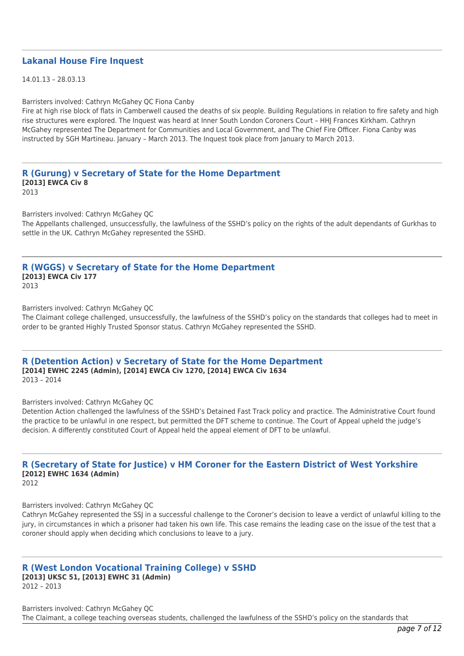#### **Lakanal House Fire Inquest**

14.01.13 – 28.03.13

Barristers involved: Cathryn McGahey QC Fiona Canby

Fire at high rise block of flats in Camberwell caused the deaths of six people. Building Regulations in relation to fire safety and high rise structures were explored. The Inquest was heard at Inner South London Coroners Court – HHJ Frances Kirkham. Cathryn McGahey represented The Department for Communities and Local Government, and The Chief Fire Officer. Fiona Canby was instructed by SGH Martineau. January – March 2013. The Inquest took place from January to March 2013.

**R (Gurung) v Secretary of State for the Home Department [2013] EWCA Civ 8** 2013

Barristers involved: Cathryn McGahey QC

The Appellants challenged, unsuccessfully, the lawfulness of the SSHD's policy on the rights of the adult dependants of Gurkhas to settle in the UK. Cathryn McGahey represented the SSHD.

#### **R (WGGS) v Secretary of State for the Home Department [2013] EWCA Civ 177** 2013

Barristers involved: Cathryn McGahey QC

The Claimant college challenged, unsuccessfully, the lawfulness of the SSHD's policy on the standards that colleges had to meet in order to be granted Highly Trusted Sponsor status. Cathryn McGahey represented the SSHD.

#### **R (Detention Action) v Secretary of State for the Home Department [2014] EWHC 2245 (Admin), [2014] EWCA Civ 1270, [2014] EWCA Civ 1634** 2013 – 2014

Barristers involved: Cathryn McGahey QC

Detention Action challenged the lawfulness of the SSHD's Detained Fast Track policy and practice. The Administrative Court found the practice to be unlawful in one respect, but permitted the DFT scheme to continue. The Court of Appeal upheld the judge's decision. A differently constituted Court of Appeal held the appeal element of DFT to be unlawful.

# **R (Secretary of State for Justice) v HM Coroner for the Eastern District of West Yorkshire [2012] EWHC 1634 (Admin)**

2012

Barristers involved: Cathryn McGahey QC

Cathryn McGahey represented the SSJ in a successful challenge to the Coroner's decision to leave a verdict of unlawful killing to the jury, in circumstances in which a prisoner had taken his own life. This case remains the leading case on the issue of the test that a coroner should apply when deciding which conclusions to leave to a jury.

## **R (West London Vocational Training College) v SSHD**

**[2013] UKSC 51, [2013] EWHC 31 (Admin)**

2012 – 2013

Barristers involved: Cathryn McGahey QC The Claimant, a college teaching overseas students, challenged the lawfulness of the SSHD's policy on the standards that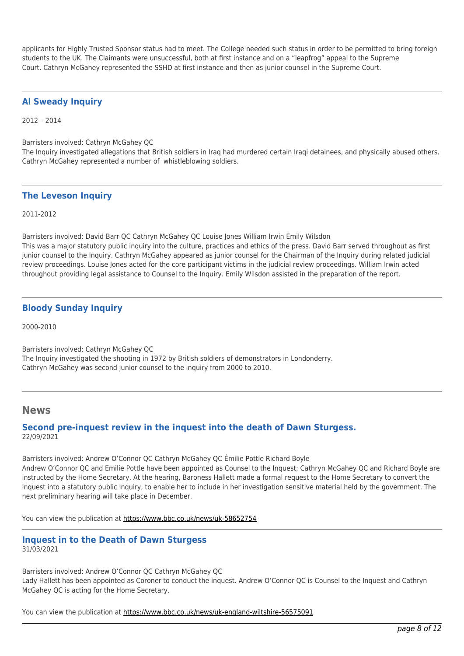applicants for Highly Trusted Sponsor status had to meet. The College needed such status in order to be permitted to bring foreign students to the UK. The Claimants were unsuccessful, both at first instance and on a "leapfrog" appeal to the Supreme Court. Cathryn McGahey represented the SSHD at first instance and then as junior counsel in the Supreme Court.

## **Al Sweady Inquiry**

2012 – 2014

Barristers involved: Cathryn McGahey QC

The Inquiry investigated allegations that British soldiers in Iraq had murdered certain Iraqi detainees, and physically abused others. Cathryn McGahey represented a number of whistleblowing soldiers.

#### **The Leveson Inquiry**

2011-2012

Barristers involved: David Barr QC Cathryn McGahey QC Louise Jones William Irwin Emily Wilsdon This was a major statutory public inquiry into the culture, practices and ethics of the press. David Barr served throughout as first junior counsel to the Inquiry. Cathryn McGahey appeared as junior counsel for the Chairman of the Inquiry during related judicial review proceedings. Louise Jones acted for the core participant victims in the judicial review proceedings. William Irwin acted throughout providing legal assistance to Counsel to the Inquiry. Emily Wilsdon assisted in the preparation of the report.

# **Bloody Sunday Inquiry**

2000-2010

Barristers involved: Cathryn McGahey QC The Inquiry investigated the shooting in 1972 by British soldiers of demonstrators in Londonderry. Cathryn McGahey was second junior counsel to the inquiry from 2000 to 2010.

## **News**

## **Second pre-inquest review in the inquest into the death of Dawn Sturgess.** 22/09/2021

Barristers involved: Andrew O'Connor QC Cathryn McGahey QC Émilie Pottle Richard Boyle Andrew O'Connor QC and Emilie Pottle have been appointed as Counsel to the Inquest; Cathryn McGahey QC and Richard Boyle are instructed by the Home Secretary. At the hearing, Baroness Hallett made a formal request to the Home Secretary to convert the inquest into a statutory public inquiry, to enable her to include in her investigation sensitive material held by the government. The next preliminary hearing will take place in December.

You can view the publication at<https://www.bbc.co.uk/news/uk-58652754>

#### **Inquest in to the Death of Dawn Sturgess** 31/03/2021

Barristers involved: Andrew O'Connor QC Cathryn McGahey QC Lady Hallett has been appointed as Coroner to conduct the inquest. Andrew O'Connor QC is Counsel to the Inquest and Cathryn McGahey QC is acting for the Home Secretary.

You can view the publication at<https://www.bbc.co.uk/news/uk-england-wiltshire-56575091>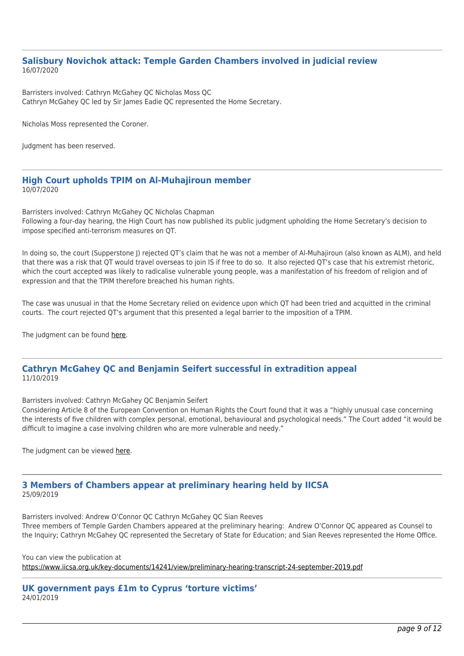#### **Salisbury Novichok attack: Temple Garden Chambers involved in judicial review** 16/07/2020

Barristers involved: Cathryn McGahey QC Nicholas Moss QC Cathryn McGahey QC led by Sir James Eadie QC represented the Home Secretary.

Nicholas Moss represented the Coroner.

Judgment has been reserved.

#### **High Court upholds TPIM on Al-Muhajiroun member** 10/07/2020

Barristers involved: Cathryn McGahey QC Nicholas Chapman Following a four-day hearing, the High Court has now published its public judgment upholding the Home Secretary's decision to impose specified anti-terrorism measures on QT.

In doing so, the court (Supperstone J) rejected QT's claim that he was not a member of Al-Muhajiroun (also known as ALM), and held that there was a risk that QT would travel overseas to join IS if free to do so. It also rejected QT's case that his extremist rhetoric, which the court accepted was likely to radicalise vulnerable young people, was a manifestation of his freedom of religion and of expression and that the TPIM therefore breached his human rights.

The case was unusual in that the Home Secretary relied on evidence upon which QT had been tried and acquitted in the criminal courts. The court rejected QT's argument that this presented a legal barrier to the imposition of a TPIM.

The judgment can be found [here](http://tgchambers.com/wp-content/uploads/2020/07/20200710-QT-OPEN-judgment-redacted-for-publication.pdf).

## **Cathryn McGahey QC and Benjamin Seifert successful in extradition appeal** 11/10/2019

Barristers involved: Cathryn McGahey QC Benjamin Seifert

Considering Article 8 of the European Convention on Human Rights the Court found that it was a "highly unusual case concerning the interests of five children with complex personal, emotional, behavioural and psychological needs." The Court added "it would be difficult to imagine a case involving children who are more vulnerable and needy."

The judgment can be viewed [here.](http://tgchambers.com/wp-content/uploads/2019/10/BY-v-CPS5.pdf)

# **3 Members of Chambers appear at preliminary hearing held by IICSA** 25/09/2019

Barristers involved: Andrew O'Connor QC Cathryn McGahey QC Sian Reeves Three members of Temple Garden Chambers appeared at the preliminary hearing: Andrew O'Connor QC appeared as Counsel to the Inquiry; Cathryn McGahey QC represented the Secretary of State for Education; and Sian Reeves represented the Home Office.

You can view the publication at

<https://www.iicsa.org.uk/key-documents/14241/view/preliminary-hearing-transcript-24-september-2019.pdf>

**UK government pays £1m to Cyprus 'torture victims'** 24/01/2019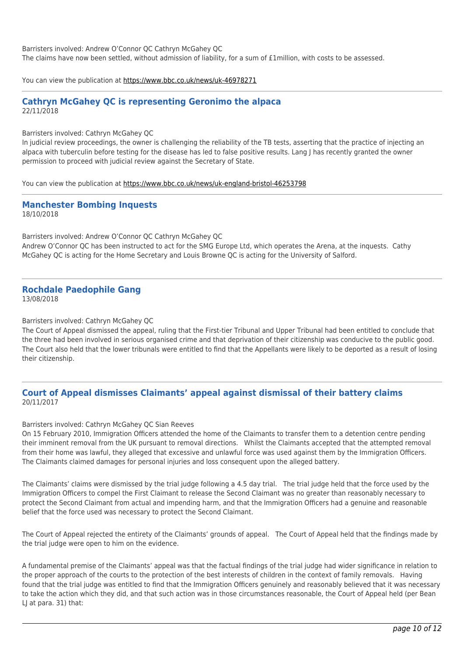Barristers involved: Andrew O'Connor QC Cathryn McGahey QC

The claims have now been settled, without admission of liability, for a sum of £1million, with costs to be assessed.

You can view the publication at<https://www.bbc.co.uk/news/uk-46978271>

#### **Cathryn McGahey QC is representing Geronimo the alpaca** 22/11/2018

Barristers involved: Cathryn McGahey QC

In judicial review proceedings, the owner is challenging the reliability of the TB tests, asserting that the practice of injecting an alpaca with tuberculin before testing for the disease has led to false positive results. Lang J has recently granted the owner permission to proceed with judicial review against the Secretary of State.

You can view the publication at<https://www.bbc.co.uk/news/uk-england-bristol-46253798>

**Manchester Bombing Inquests** 18/10/2018

Barristers involved: Andrew O'Connor QC Cathryn McGahey QC Andrew O'Connor QC has been instructed to act for the SMG Europe Ltd, which operates the Arena, at the inquests. Cathy McGahey QC is acting for the Home Secretary and Louis Browne QC is acting for the University of Salford.

#### **Rochdale Paedophile Gang** 13/08/2018

Barristers involved: Cathryn McGahey QC

The Court of Appeal dismissed the appeal, ruling that the First-tier Tribunal and Upper Tribunal had been entitled to conclude that the three had been involved in serious organised crime and that deprivation of their citizenship was conducive to the public good. The Court also held that the lower tribunals were entitled to find that the Appellants were likely to be deported as a result of losing their citizenship.

## **Court of Appeal dismisses Claimants' appeal against dismissal of their battery claims** 20/11/2017

Barristers involved: Cathryn McGahey QC Sian Reeves

On 15 February 2010, Immigration Officers attended the home of the Claimants to transfer them to a detention centre pending their imminent removal from the UK pursuant to removal directions. Whilst the Claimants accepted that the attempted removal from their home was lawful, they alleged that excessive and unlawful force was used against them by the Immigration Officers. The Claimants claimed damages for personal injuries and loss consequent upon the alleged battery.

The Claimants' claims were dismissed by the trial judge following a 4.5 day trial. The trial judge held that the force used by the Immigration Officers to compel the First Claimant to release the Second Claimant was no greater than reasonably necessary to protect the Second Claimant from actual and impending harm, and that the Immigration Officers had a genuine and reasonable belief that the force used was necessary to protect the Second Claimant.

The Court of Appeal rejected the entirety of the Claimants' grounds of appeal. The Court of Appeal held that the findings made by the trial judge were open to him on the evidence.

A fundamental premise of the Claimants' appeal was that the factual findings of the trial judge had wider significance in relation to the proper approach of the courts to the protection of the best interests of children in the context of family removals. Having found that the trial judge was entitled to find that the Immigration Officers genuinely and reasonably believed that it was necessary to take the action which they did, and that such action was in those circumstances reasonable, the Court of Appeal held (per Bean LJ at para. 31) that: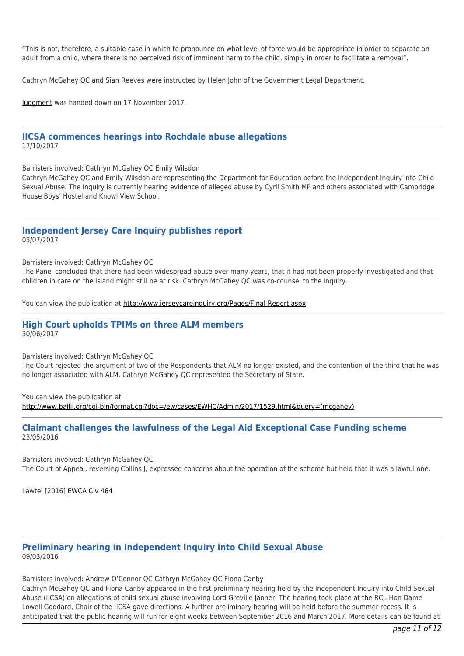"This is not, therefore, a suitable case in which to pronounce on what level of force would be appropriate in order to separate an adult from a child, where there is no perceived risk of imminent harm to the child, simply in order to facilitate a removal".

Cathryn McGahey QC and Sian Reeves were instructed by Helen John of the Government Legal Department.

[Judgment](http://www.bailii.org/ew/cases/EWCA/Civ/2017/1748.html) was handed down on 17 November 2017.

#### **IICSA commences hearings into Rochdale abuse allegations** 17/10/2017

Barristers involved: Cathryn McGahey QC Emily Wilsdon

Cathryn McGahey QC and Emily Wilsdon are representing the Department for Education before the Independent Inquiry into Child Sexual Abuse. The Inquiry is currently hearing evidence of alleged abuse by Cyril Smith MP and others associated with Cambridge House Boys' Hostel and Knowl View School.

#### **Independent Jersey Care Inquiry publishes report** 03/07/2017

Barristers involved: Cathryn McGahey QC

The Panel concluded that there had been widespread abuse over many years, that it had not been properly investigated and that children in care on the island might still be at risk. Cathryn McGahey QC was co-counsel to the Inquiry.

You can view the publication at http://www.jerseycareinguiry.org/Pages/Final-Report.aspx

#### **High Court upholds TPIMs on three ALM members** 30/06/2017

Barristers involved: Cathryn McGahey QC

The Court rejected the argument of two of the Respondents that ALM no longer existed, and the contention of the third that he was no longer associated with ALM. Cathryn McGahey QC represented the Secretary of State.

You can view the publication at [http://www.bailii.org/cgi-bin/format.cgi?doc=/ew/cases/EWHC/Admin/2017/1529.html&query=\(mcgahey\)](http://www.bailii.org/cgi-bin/format.cgi?doc=/ew/cases/EWHC/Admin/2017/1529.html&query=(mcgahey))

#### **Claimant challenges the lawfulness of the Legal Aid Exceptional Case Funding scheme** 23/05/2016

Barristers involved: Cathryn McGahey QC The Court of Appeal, reversing Collins J, expressed concerns about the operation of the scheme but held that it was a lawful one.

Lawtel [2016] [EWCA Civ 464](http://tgchambers.com/wp-content/uploads/2016/05/CASE-HISTORY-Court-of-Appeal-Civil-Division.pdf)

#### **Preliminary hearing in Independent Inquiry into Child Sexual Abuse** 09/03/2016

Barristers involved: Andrew O'Connor QC Cathryn McGahey QC Fiona Canby

Cathryn McGahey QC and Fiona Canby appeared in the first preliminary hearing held by the Independent Inquiry into Child Sexual Abuse (IICSA) on allegations of child sexual abuse involving Lord Greville Janner. The hearing took place at the RCJ. Hon Dame Lowell Goddard, Chair of the IICSA gave directions. A further preliminary hearing will be held before the summer recess. It is anticipated that the public hearing will run for eight weeks between September 2016 and March 2017. More details can be found at